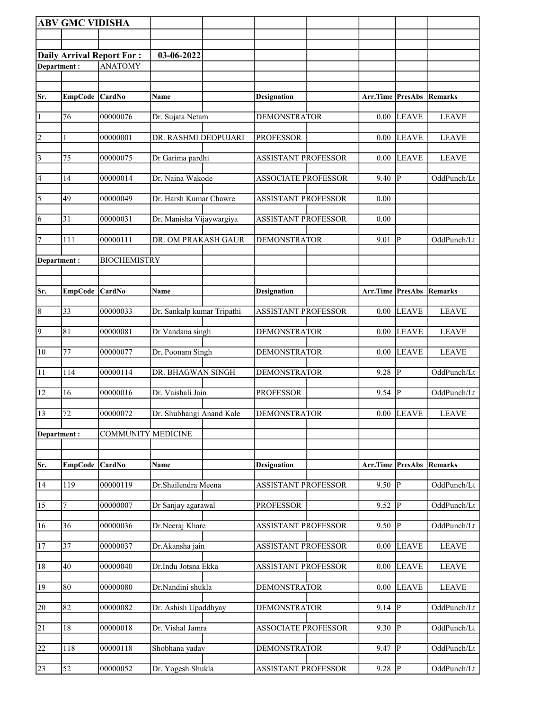|                 | <b>ABV GMC VIDISHA</b> |                                  |                            |                            |                                 |                         |              |
|-----------------|------------------------|----------------------------------|----------------------------|----------------------------|---------------------------------|-------------------------|--------------|
|                 |                        |                                  |                            |                            |                                 |                         |              |
|                 |                        | <b>Daily Arrival Report For:</b> | 03-06-2022                 |                            |                                 |                         |              |
| Department:     |                        | <b>ANATOMY</b>                   |                            |                            |                                 |                         |              |
|                 |                        |                                  |                            |                            |                                 |                         |              |
| Sr.             | <b>EmpCode</b>         | CardNo                           | Name                       | <b>Designation</b>         | <b>Arr.Time PresAbs Remarks</b> |                         |              |
|                 |                        |                                  |                            |                            |                                 |                         |              |
| $\vert$ 1       | 76                     | 00000076                         | Dr. Sujata Netam           | <b>DEMONSTRATOR</b>        | 0.00                            | <b>LEAVE</b>            | <b>LEAVE</b> |
| $\overline{2}$  | 1                      | 00000001                         | DR. RASHMI DEOPUJARI       | <b>PROFESSOR</b>           | 0.00                            | <b>LEAVE</b>            | <b>LEAVE</b> |
| $\vert$ 3       | 75                     |                                  | Dr Garima pardhi           | <b>ASSISTANT PROFESSOR</b> |                                 | <b>LEAVE</b>            | <b>LEAVE</b> |
|                 |                        | 00000075                         |                            |                            | $0.00\,$                        |                         |              |
| 4               | 14                     | 00000014                         | Dr. Naina Wakode           | <b>ASSOCIATE PROFESSOR</b> | 9.40                            | $ {\bf P} $             | OddPunch/Lt  |
| $\overline{5}$  | 49                     | 00000049                         | Dr. Harsh Kumar Chawre     | <b>ASSISTANT PROFESSOR</b> | 0.00                            |                         |              |
|                 |                        |                                  |                            |                            |                                 |                         |              |
| 6               | 31                     | 00000031                         | Dr. Manisha Vijaywargiya   | <b>ASSISTANT PROFESSOR</b> | 0.00                            |                         |              |
| 7               | 111                    | 00000111                         | DR. OM PRAKASH GAUR        | <b>DEMONSTRATOR</b>        | 9.01                            | P                       | OddPunch/Lt  |
| Department:     |                        | <b>BIOCHEMISTRY</b>              |                            |                            |                                 |                         |              |
|                 |                        |                                  |                            |                            |                                 |                         |              |
| Sr.             | <b>EmpCode</b>         | <b>CardNo</b>                    | Name                       | <b>Designation</b>         | Arr.Time PresAbs                |                         | Remarks      |
|                 |                        |                                  |                            |                            |                                 |                         |              |
| $\vert 8$       | 33                     | 00000033                         | Dr. Sankalp kumar Tripathi | <b>ASSISTANT PROFESSOR</b> | $0.00\,$                        | <b>LEAVE</b>            | <b>LEAVE</b> |
| $\overline{9}$  | 81                     | 00000081                         | Dr Vandana singh           | <b>DEMONSTRATOR</b>        | 0.00                            | <b>LEAVE</b>            | <b>LEAVE</b> |
|                 |                        |                                  |                            |                            |                                 |                         |              |
| $\overline{10}$ | 77                     | 00000077                         | Dr. Poonam Singh           | <b>DEMONSTRATOR</b>        | $0.00\,$                        | <b>LEAVE</b>            | <b>LEAVE</b> |
| 11              | 114                    | 00000114                         | DR. BHAGWAN SINGH          | <b>DEMONSTRATOR</b>        | 9.28                            | P                       | OddPunch/Lt  |
| 12              | 16                     | 00000016                         | Dr. Vaishali Jain          | <b>PROFESSOR</b>           | $9.54$ P                        |                         | OddPunch/Lt  |
|                 |                        |                                  |                            |                            |                                 |                         |              |
| 13              | 72                     | 00000072                         | Dr. Shubhangi Anand Kale   | <b>DEMONSTRATOR</b>        |                                 | $0.00$ LEAVE            | <b>LEAVE</b> |
| Department:     |                        | <b>COMMUNITY MEDICINE</b>        |                            |                            |                                 |                         |              |
|                 |                        |                                  |                            |                            |                                 |                         |              |
| Sr.             | <b>EmpCode</b>         | CardNo                           | Name                       | <b>Designation</b>         | <b>Arr.Time PresAbs Remarks</b> |                         |              |
| 14              | $\overline{1}19$       | 00000119                         | Dr.Shailendra Meena        | <b>ASSISTANT PROFESSOR</b> | 9.50                            | P                       | OddPunch/Lt  |
|                 |                        |                                  |                            |                            |                                 |                         |              |
| 15              | 7                      | 00000007                         | Dr Sanjay agarawal         | <b>PROFESSOR</b>           | 9.52                            | $\overline{P}$          | OddPunch/Lt  |
| 16              | 36                     | 00000036                         | Dr.Neeraj Khare            | <b>ASSISTANT PROFESSOR</b> | 9.50                            | $ {\bf P} $             | OddPunch/Lt  |
| 17              | 37                     | 00000037                         | Dr.Akansha jain            | <b>ASSISTANT PROFESSOR</b> | 0.00                            | <b>LEAVE</b>            | <b>LEAVE</b> |
|                 |                        |                                  |                            |                            |                                 |                         |              |
| 18              | 40                     | 00000040                         | Dr.Indu Jotsna Ekka        | <b>ASSISTANT PROFESSOR</b> | 0.00                            | <b>LEAVE</b>            | <b>LEAVE</b> |
| 19              | 80                     | 00000080                         | Dr.Nandini shukla          | <b>DEMONSTRATOR</b>        | 0.00                            | <b>LEAVE</b>            | <b>LEAVE</b> |
|                 |                        |                                  |                            |                            |                                 |                         |              |
| $\overline{20}$ | 82                     | 00000082                         | Dr. Ashish Upaddhyay       | <b>DEMONSTRATOR</b>        | 9.14                            | $\overline{\mathbb{P}}$ | OddPunch/Lt  |
| 21              | 18                     | 00000018                         | Dr. Vishal Jamra           | <b>ASSOCIATE PROFESSOR</b> | 9.30                            | $ {\bf P} $             | OddPunch/Lt  |
| $\overline{22}$ | 118                    | 00000118                         | Shobhana yadav             | <b>DEMONSTRATOR</b>        | 9.47                            | P                       | OddPunch/Lt  |
|                 |                        |                                  |                            |                            |                                 |                         |              |
| 23              | 52                     | 00000052                         | Dr. Yogesh Shukla          | <b>ASSISTANT PROFESSOR</b> | $9.28$ P                        |                         | OddPunch/Lt  |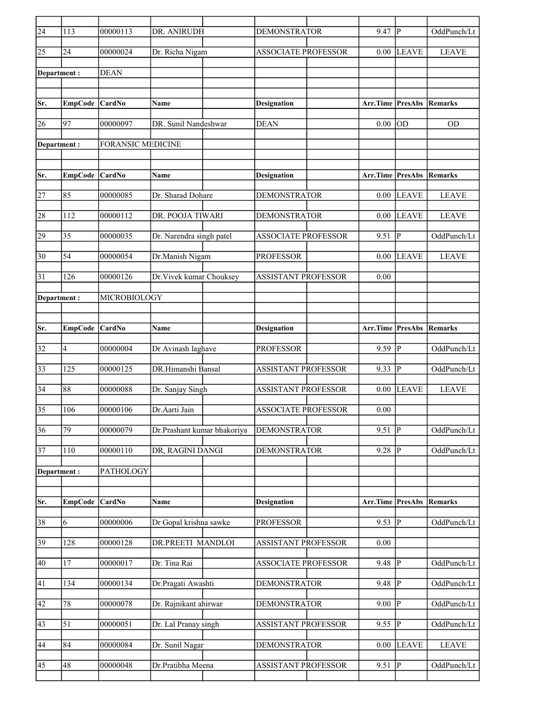| $\overline{24}$ | 113             | 00000113                 | DR. ANIRUDH                 | <b>DEMONSTRATOR</b>        | 9.47                            | P              | OddPunch/Lt    |
|-----------------|-----------------|--------------------------|-----------------------------|----------------------------|---------------------------------|----------------|----------------|
| 25              | 24              | 00000024                 | Dr. Richa Nigam             | <b>ASSOCIATE PROFESSOR</b> | 0.00                            | <b>LEAVE</b>   | <b>LEAVE</b>   |
| Department:     |                 | <b>DEAN</b>              |                             |                            |                                 |                |                |
|                 |                 |                          |                             |                            |                                 |                |                |
| Sr.             | <b>EmpCode</b>  | CardNo                   | Name                        | <b>Designation</b>         | <b>Arr.Time PresAbs Remarks</b> |                |                |
| 26              | 97              | 00000097                 | DR. Sunil Nandeshwar        | <b>DEAN</b>                | 0.00                            | <b>OD</b>      | <b>OD</b>      |
| Department:     |                 | <b>FORANSIC MEDICINE</b> |                             |                            |                                 |                |                |
|                 |                 |                          |                             |                            |                                 |                |                |
| Sr.             | <b>EmpCode</b>  | <b>CardNo</b>            | Name                        | <b>Designation</b>         | Arr.Time PresAbs                |                | <b>Remarks</b> |
|                 |                 |                          |                             |                            |                                 |                |                |
| 27              | 85              | 00000085                 | Dr. Sharad Dohare           | <b>DEMONSTRATOR</b>        | 0.00                            | <b>LEAVE</b>   | <b>LEAVE</b>   |
| 28              | 112             | 00000112                 | DR. POOJA TIWARI            | <b>DEMONSTRATOR</b>        | 0.00                            | <b>LEAVE</b>   | <b>LEAVE</b>   |
| 29              | 35              | 00000035                 | Dr. Narendra singh patel    | <b>ASSOCIATE PROFESSOR</b> | 9.51                            | $ {\bf P} $    | OddPunch/Lt    |
| 30              | 54              | 00000054                 | Dr.Manish Nigam             | <b>PROFESSOR</b>           | 0.00                            | <b>LEAVE</b>   | <b>LEAVE</b>   |
| 31              | 126             | 00000126                 | Dr. Vivek kumar Chouksey    | <b>ASSISTANT PROFESSOR</b> | 0.00                            |                |                |
| Department :    |                 | MICROBIOLOGY             |                             |                            |                                 |                |                |
|                 |                 |                          |                             |                            |                                 |                |                |
| Sr.             | <b>EmpCode</b>  | <b>CardNo</b>            | Name                        | <b>Designation</b>         | Arr.Time PresAbs                |                | Remarks        |
| 32              | 4               | 00000004                 | Dr Avinash laghave          | <b>PROFESSOR</b>           | 9.59                            | P              | OddPunch/Lt    |
|                 |                 |                          |                             |                            |                                 |                |                |
| 33              | 125             | 00000125                 | DR.Himanshi Bansal          | <b>ASSISTANT PROFESSOR</b> | 9.33                            | lР             | OddPunch/Lt    |
| 34              | 88              | 00000088                 | Dr. Sanjay Singh            | ASSISTANT PROFESSOR        | 0.00                            | <b>LEAVE</b>   | <b>LEAVE</b>   |
| 35              | 106             | 00000106                 | Dr.Aarti Jain               | <b>ASSOCIATE PROFESSOR</b> | 0.00                            |                |                |
| 36              | $\overline{79}$ | 00000079                 | Dr.Prashant kumar bhakoriya | <b>DEMONSTRATOR</b>        | 9.51                            | $\overline{P}$ | OddPunch/Lt    |
| 37              | 110             | 00000110                 | DR, RAGINI DANGI            | <b>DEMONSTRATOR</b>        | $9.28$ P                        |                | OddPunch/Lt    |
| Department:     |                 | PATHOLOGY                |                             |                            |                                 |                |                |
|                 |                 |                          |                             |                            |                                 |                |                |
| Sr.             | <b>EmpCode</b>  | CardNo                   | Name                        | <b>Designation</b>         | Arr.Time PresAbs                |                | <b>Remarks</b> |
| 38              | 6               | 00000006                 | Dr Gopal krishna sawke      | <b>PROFESSOR</b>           | $9.53$ P                        |                | OddPunch/Lt    |
|                 |                 |                          |                             |                            |                                 |                |                |
| 39              | 128             | 00000128                 | DR.PREETI MANDLOI           | <b>ASSISTANT PROFESSOR</b> | 0.00                            |                |                |
| 40              | 17              | 00000017                 | Dr. Tina Rai                | <b>ASSOCIATE PROFESSOR</b> | 9.48                            | P              | OddPunch/Lt    |
| 41              | 134             | 00000134                 | Dr.Pragati Awashti          | DEMONSTRATOR               | 9.48                            | P              | OddPunch/Lt    |
| 42              | 78              | 00000078                 | Dr. Rajnikant ahirwar       | <b>DEMONSTRATOR</b>        | 9.00                            | P              | OddPunch/Lt    |
| 43              | 51              | 00000051                 | Dr. Lal Pranay singh        | <b>ASSISTANT PROFESSOR</b> | 9.55                            | P              | OddPunch/Lt    |
| 44              | 84              | 00000084                 | Dr. Sunil Nagar             | <b>DEMONSTRATOR</b>        | 0.00                            | <b>LEAVE</b>   | <b>LEAVE</b>   |
| 45              | 48              | 00000048                 | Dr.Pratibha Meena           | <b>ASSISTANT PROFESSOR</b> | 9.51                            | P              | OddPunch/Lt    |
|                 |                 |                          |                             |                            |                                 |                |                |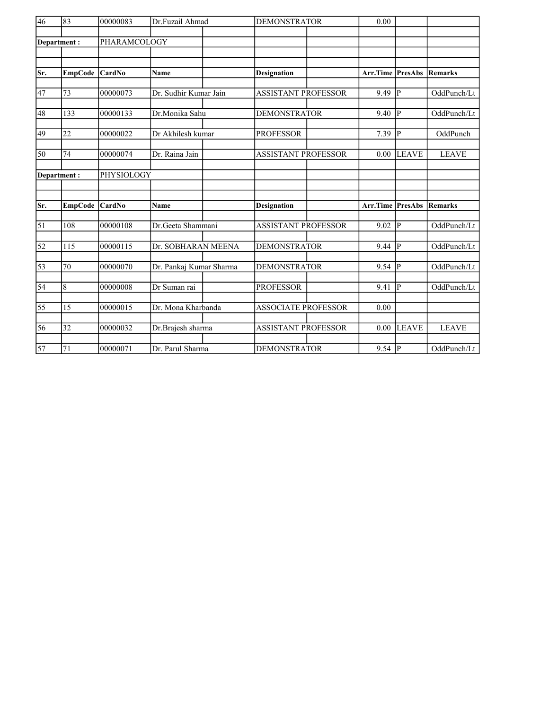| 46              | 83             | 00000083     | Dr.Fuzail Ahmad         | <b>DEMONSTRATOR</b>        | 0.00                    |                |                |
|-----------------|----------------|--------------|-------------------------|----------------------------|-------------------------|----------------|----------------|
|                 | Department:    | PHARAMCOLOGY |                         |                            |                         |                |                |
|                 |                |              |                         |                            |                         |                |                |
|                 |                |              |                         |                            |                         |                |                |
| Sr.             | <b>EmpCode</b> | CardNo       | <b>Name</b>             | <b>Designation</b>         | <b>Arr.Time PresAbs</b> |                | Remarks        |
|                 |                |              |                         |                            |                         |                |                |
| 47              | 73             | 00000073     | Dr. Sudhir Kumar Jain   | <b>ASSISTANT PROFESSOR</b> | 9.49                    | <sup> </sup> P | OddPunch/Lt    |
| 48              | 133            | 00000133     | Dr.Monika Sahu          | <b>DEMONSTRATOR</b>        | 9.40                    | IР             | OddPunch/Lt    |
|                 |                |              |                         |                            |                         |                |                |
| 49              | 22             | 00000022     | Dr Akhilesh kumar       | <b>PROFESSOR</b>           | 7.39                    | P              | OddPunch       |
| 50              | 74             | 00000074     | Dr. Raina Jain          | <b>ASSISTANT PROFESSOR</b> | 0.00                    | <b>LEAVE</b>   | <b>LEAVE</b>   |
|                 | Department:    | PHYSIOLOGY   |                         |                            |                         |                |                |
|                 |                |              |                         |                            |                         |                |                |
|                 |                |              |                         |                            |                         |                |                |
| Sr.             | <b>EmpCode</b> | CardNo       | <b>Name</b>             | <b>Designation</b>         | Arr.Time                | <b>PresAbs</b> | <b>Remarks</b> |
| $\overline{51}$ | 108            | 00000108     | Dr.Geeta Shammani       | <b>ASSISTANT PROFESSOR</b> | 9.02                    | <sup> p</sup>  | OddPunch/Lt    |
|                 |                |              |                         |                            |                         |                |                |
| $\overline{52}$ | 115            | 00000115     | Dr. SOBHARAN MEENA      | <b>DEMONSTRATOR</b>        | $9.44$ P                |                | OddPunch/Lt    |
| $\overline{53}$ | 70             | 00000070     | Dr. Pankaj Kumar Sharma | <b>DEMONSTRATOR</b>        | $9.54 \overline{P}$     |                | OddPunch/Lt    |
|                 |                |              |                         |                            |                         |                |                |
| 54              | $\,$ 8 $\,$    | 00000008     | Dr Suman rai            | <b>PROFESSOR</b>           | 9.41                    | <sup> </sup> P | OddPunch/Lt    |
|                 |                |              |                         |                            |                         |                |                |
| 55              | 15             | 00000015     | Dr. Mona Kharbanda      | <b>ASSOCIATE PROFESSOR</b> | 0.00                    |                |                |
| 56              | 32             | 00000032     | Dr.Brajesh sharma       | ASSISTANT PROFESSOR        | 0.00                    | <b>LEAVE</b>   | <b>LEAVE</b>   |
| 57              | 71             | 00000071     | Dr. Parul Sharma        | <b>DEMONSTRATOR</b>        | $9.54$ P                |                | OddPunch/Lt    |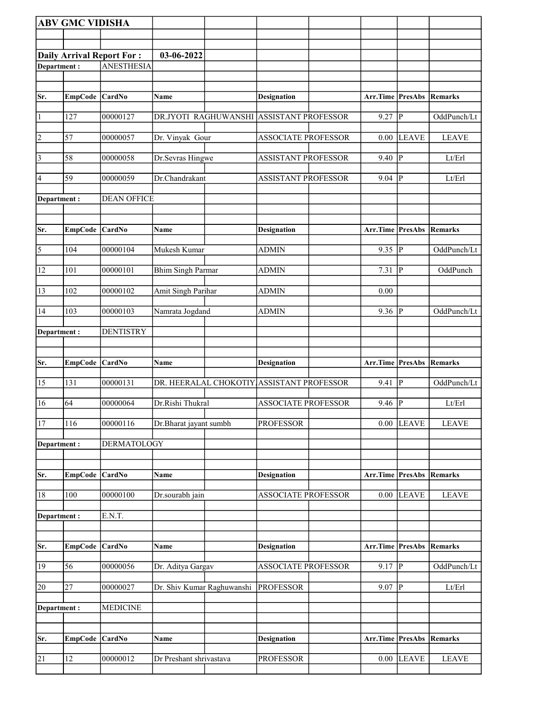|                                                                      | <b>ABV GMC VIDISHA</b> |                    |                            |                                           |                                 |                        |                            |
|----------------------------------------------------------------------|------------------------|--------------------|----------------------------|-------------------------------------------|---------------------------------|------------------------|----------------------------|
|                                                                      |                        |                    |                            |                                           |                                 |                        |                            |
|                                                                      |                        |                    | 03-06-2022                 |                                           |                                 |                        |                            |
| <b>Daily Arrival Report For:</b><br><b>ANESTHESIA</b><br>Department: |                        |                    |                            |                                           |                                 |                        |                            |
|                                                                      |                        |                    |                            |                                           |                                 |                        |                            |
|                                                                      |                        |                    |                            |                                           |                                 |                        |                            |
| Sr.                                                                  | EmpCode CardNo         |                    | Name                       | <b>Designation</b>                        | Arr.Time                        | <b>PresAbs Remarks</b> |                            |
| $\vert$ 1                                                            | 127                    | 00000127           | DR.JYOTI RAGHUWANSHI       | <b>ASSISTANT PROFESSOR</b>                | 9.27                            | $\overline{P}$         | OddPunch/Lt                |
| $\vert$ 2                                                            | 57                     | 00000057           | Dr. Vinyak Gour            | <b>ASSOCIATE PROFESSOR</b>                | 0.00                            | <b>LEAVE</b>           | <b>LEAVE</b>               |
| $\vert$ 3                                                            | 58                     | 00000058           | Dr.Sevras Hingwe           | <b>ASSISTANT PROFESSOR</b>                | 9.40                            | P                      | Lt/Erl                     |
| 4                                                                    | 59                     | 00000059           | Dr.Chandrakant             | <b>ASSISTANT PROFESSOR</b>                | 9.04                            | ∣P                     | Lt/Erl                     |
| Department:                                                          |                        | <b>DEAN OFFICE</b> |                            |                                           |                                 |                        |                            |
| Sr.                                                                  | EmpCode CardNo         |                    | Name                       | <b>Designation</b>                        | <b>Arr.Time PresAbs Remarks</b> |                        |                            |
|                                                                      |                        |                    |                            |                                           |                                 |                        |                            |
| $\overline{\mathbf{5}}$                                              | 104                    | 00000104           | Mukesh Kumar               | <b>ADMIN</b>                              | 9.35                            | P                      | OddPunch/Lt                |
| 12                                                                   | 101                    | 00000101           | <b>Bhim Singh Parmar</b>   | <b>ADMIN</b>                              | 7.31                            | P                      | OddPunch                   |
| 13                                                                   | 102                    | 00000102           | <b>Amit Singh Parihar</b>  | <b>ADMIN</b>                              | 0.00                            |                        |                            |
| 14                                                                   | 103                    | 00000103           | Namrata Jogdand            | <b>ADMIN</b>                              | 9.36                            | P                      | OddPunch/Lt                |
| Department:                                                          |                        | <b>DENTISTRY</b>   |                            |                                           |                                 |                        |                            |
|                                                                      |                        |                    |                            |                                           |                                 |                        |                            |
|                                                                      |                        |                    |                            |                                           |                                 |                        |                            |
| Sr.                                                                  | <b>EmpCode</b>         | <b>CardNo</b>      | Name                       | <b>Designation</b>                        | Arr.Time                        | <b>PresAbs</b>         | Remarks                    |
| 15                                                                   | 131                    | 00000131           |                            | DR. HEERALAL CHOKOTIY ASSISTANT PROFESSOR | 9.41                            | $\bf P$                | OddPunch/Lt                |
| 16                                                                   | 64                     | 00000064           | Dr.Rishi Thukral           | <b>ASSOCIATE PROFESSOR</b>                | 9.46                            | P                      | Lt/Erl                     |
| 17                                                                   | 116                    | 00000116           | Dr.Bharat jayant sumbh     | <b>PROFESSOR</b>                          |                                 | $0.00$ LEAVE           | <b>LEAVE</b>               |
| Department:                                                          |                        | DERMATOLOGY        |                            |                                           |                                 |                        |                            |
| Sr.                                                                  | EmpCode                | CardNo             | Name                       | <b>Designation</b>                        | Arr.Time                        | <b>PresAbs</b>         | Remarks                    |
| 18                                                                   | 100                    | 00000100           | Dr.sourabh jain            | <b>ASSOCIATE PROFESSOR</b>                | 0.00                            | <b>LEAVE</b>           | <b>LEAVE</b>               |
|                                                                      |                        |                    |                            |                                           |                                 |                        |                            |
| Department:                                                          |                        | E.N.T.             |                            |                                           |                                 |                        |                            |
|                                                                      |                        |                    |                            |                                           |                                 |                        |                            |
| Sr.                                                                  | EmpCode CardNo         |                    | Name                       | <b>Designation</b>                        | <b>Arr.Time PresAbs Remarks</b> |                        |                            |
| 19                                                                   | 56                     | 00000056           | Dr. Aditya Gargav          | <b>ASSOCIATE PROFESSOR</b>                | 9.17                            | P                      | OddPunch/Lt                |
| 20                                                                   | 27                     | 00000027           | Dr. Shiv Kumar Raghuwanshi | <b>PROFESSOR</b>                          | 9.07                            | $\overline{P}$         | $\mathbf{Lt}/\mathbf{Erl}$ |
| Department:                                                          |                        | <b>MEDICINE</b>    |                            |                                           |                                 |                        |                            |
|                                                                      |                        |                    |                            |                                           |                                 |                        |                            |
| Sr.                                                                  | EmpCode CardNo         |                    | Name                       | <b>Designation</b>                        | Arr.Time                        |                        | <b>PresAbs Remarks</b>     |
| 21                                                                   | 12                     | 00000012           | Dr Preshant shrivastava    | <b>PROFESSOR</b>                          | $0.00\,$                        | <b>LEAVE</b>           | <b>LEAVE</b>               |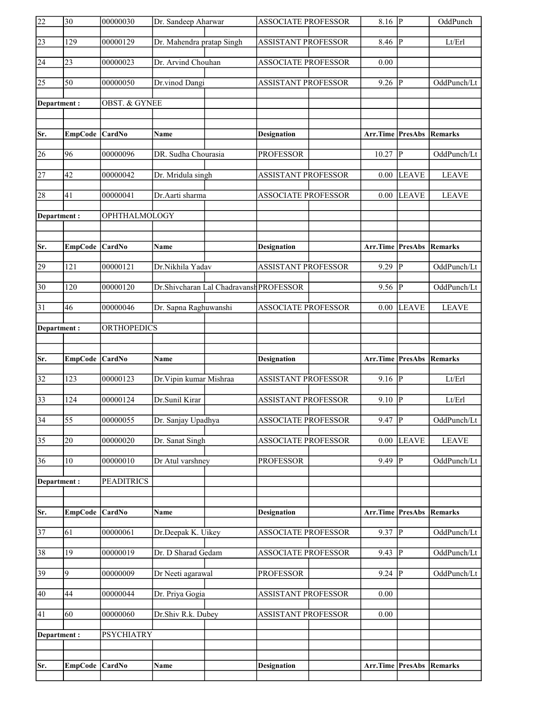| $ 30\rangle$<br>22<br>00000030<br>Dr. Sandeep Aharwar<br><b>ASSOCIATE PROFESSOR</b>                | $8.16$ P |                | OddPunch                        |
|----------------------------------------------------------------------------------------------------|----------|----------------|---------------------------------|
| $\overline{23}$<br>129<br>Dr. Mahendra pratap Singh<br>00000129<br><b>ASSISTANT PROFESSOR</b>      | 8.46     | IР             | Lt/Erl                          |
| 24<br>23<br>Dr. Arvind Chouhan<br>00000023<br><b>ASSOCIATE PROFESSOR</b>                           | 0.00     |                |                                 |
| $\overline{25}$<br>$\overline{50}$<br>00000050<br>Dr.vinod Dangi<br><b>ASSISTANT PROFESSOR</b>     | $9.26$ P |                | OddPunch/Lt                     |
| <b>OBST. &amp; GYNEE</b><br>Department:                                                            |          |                |                                 |
|                                                                                                    |          |                |                                 |
| Sr.<br>EmpCode CardNo<br><b>Name</b><br><b>Designation</b>                                         |          |                | <b>Arr.Time PresAbs Remarks</b> |
| 96<br>00000096<br>DR. Sudha Chourasia<br>26<br><b>PROFESSOR</b>                                    | 10.27    | P              | OddPunch/Lt                     |
| $\overline{27}$<br>42<br>00000042<br>Dr. Mridula singh<br><b>ASSISTANT PROFESSOR</b>               | 0.00     | <b>LEAVE</b>   | <b>LEAVE</b>                    |
| 28<br>41<br>00000041<br>Dr.Aarti sharma<br><b>ASSOCIATE PROFESSOR</b>                              | 0.00     | <b>LEAVE</b>   | <b>LEAVE</b>                    |
| OPHTHALMOLOGY<br>Department:                                                                       |          |                |                                 |
|                                                                                                    |          |                |                                 |
| EmpCode CardNo<br>Sr.<br><b>Name</b><br><b>Designation</b>                                         |          |                | <b>Arr.Time PresAbs Remarks</b> |
| 29<br>121<br>00000121<br>Dr.Nikhila Yadav<br><b>ASSISTANT PROFESSOR</b>                            | 9.29     | IР             | OddPunch/Lt                     |
| $\overline{30}$<br>00000120<br>Dr.Shivcharan Lal Chadravansh PROFESSOR<br>120                      | 9.56     | P              | OddPunch/Lt                     |
|                                                                                                    |          |                | <b>LEAVE</b>                    |
| 31<br>Dr. Sapna Raghuwanshi<br>46<br>00000046<br><b>ASSOCIATE PROFESSOR</b>                        | 0.00     | <b>LEAVE</b>   |                                 |
| <b>ORTHOPEDICS</b><br>Department:                                                                  |          |                |                                 |
|                                                                                                    |          |                |                                 |
| Sr.<br>EmpCode CardNo<br>Name<br><b>Designation</b>                                                | Arr.Time |                | <b>PresAbs Remarks</b>          |
| $\overline{32}$<br>123<br>00000123<br>Dr. Vipin kumar Mishraa<br><b>ASSISTANT PROFESSOR</b>        | 9.16     | P              | $\mathbf{Lt}/\mathbf{Erl}$      |
| $\overline{33}$<br>124<br>00000124<br>Dr.Sunil Kirar<br><b>ASSISTANT PROFESSOR</b>                 | 9.10     | P              | Lt/Erl                          |
| $\overline{34}$<br>Dr. Sanjay Upadhya<br>$\overline{55}$<br>00000055<br><b>ASSOCIATE PROFESSOR</b> | $9.47$ P |                | OddPunch/Lt                     |
| $\overline{35}$<br>00000020<br>Dr. Sanat Singh<br><b>ASSOCIATE PROFESSOR</b><br>20                 | 0.00     | <b>LEAVE</b>   | <b>LEAVE</b>                    |
| 00000010<br>36<br>10<br>Dr Atul varshney<br><b>PROFESSOR</b>                                       | 9.49     | P              | OddPunch/Lt                     |
| <b>PEADITRICS</b><br>Department:                                                                   |          |                |                                 |
|                                                                                                    |          |                |                                 |
| Sr.<br><b>EmpCode</b><br>CardNo<br>Name<br><b>Designation</b>                                      | Arr.Time | <b>PresAbs</b> | <b>Remarks</b>                  |
| $\overline{37}$<br>61<br>00000061<br>Dr.Deepak K. Uikey<br><b>ASSOCIATE PROFESSOR</b>              | 9.37     | $\overline{P}$ | OddPunch/Lt                     |
| 38<br>19<br>Dr. D Sharad Gedam<br><b>ASSOCIATE PROFESSOR</b><br>00000019                           | 9.43     | IР             | OddPunch/Lt                     |
| 39<br>9<br>00000009<br>Dr Neeti agarawal<br><b>PROFESSOR</b>                                       | 9.24     | P              | OddPunch/Lt                     |
| 40<br><b>ASSISTANT PROFESSOR</b><br>44<br>00000044<br>Dr. Priya Gogia                              | 0.00     |                |                                 |
| 41<br>60<br>Dr.Shiv R.k. Dubey<br><b>ASSISTANT PROFESSOR</b><br>00000060                           | 0.00     |                |                                 |
| Department:<br><b>PSYCHIATRY</b>                                                                   |          |                |                                 |
|                                                                                                    |          |                |                                 |